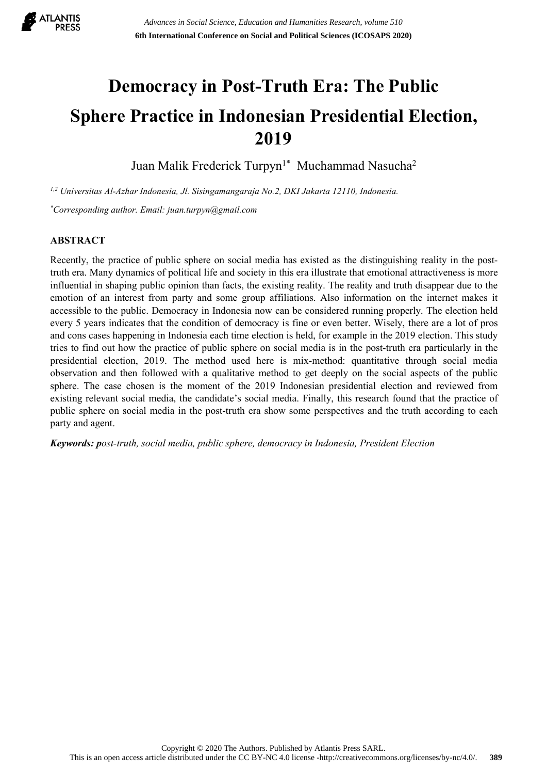

# **Democracy in Post-Truth Era: The Public Sphere Practice in Indonesian Presidential Election, 2019**

Juan Malik Frederick Turpyn 1\* Muchammad Nasucha 2

*1,2 Universitas Al-Azhar Indonesia, Jl. Sisingamangaraja No.2, DKI Jakarta 12110, Indonesia. \*Corresponding author. Email: [juan.turpyn@gmail.com](mailto:juan.turpyn@gmail.com)*

# **ABSTRACT**

Recently, the practice of public sphere on social media has existed as the distinguishing reality in the posttruth era. Many dynamics of political life and society in this era illustrate that emotional attractiveness is more influential in shaping public opinion than facts, the existing reality. The reality and truth disappear due to the emotion of an interest from party and some group affiliations. Also information on the internet makes it accessible to the public. Democracy in Indonesia now can be considered running properly. The election held every 5 years indicates that the condition of democracy is fine or even better. Wisely, there are a lot of pros and cons cases happening in Indonesia each time election is held, for example in the 2019 election. This study tries to find out how the practice of public sphere on social media isin the post-truth era particularly in the presidential election, 2019. The method used here is mix-method: quantitative through social media observation and then followed with a qualitative method to get deeply on the social aspects of the public sphere. The case chosen is the moment of the 2019 Indonesian presidential election and reviewed from existing relevant social media, the candidate's social media. Finally, this research found that the practice of public sphere on social media in the post-truth era show some perspectives and the truth according to each party and agent.

*Keywords: post-truth, social media, public sphere, democracy in Indonesia, President Election*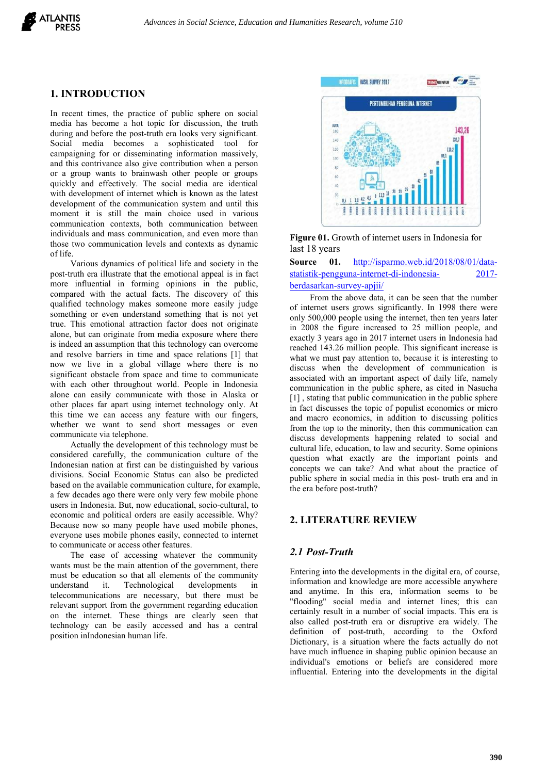

#### **1. INTRODUCTION**

In recent times, the practice of public sphere on social media has become a hot topic for discussion, the truth during and before the post-truth era looks very significant.<br>Social media becomes a sophisticated tool for campaigning for or disseminating information massively, and this contrivance also give contribution when a person or a group wants to brainwash other people or groups quickly and effectively. The social media are identical with development of internet which is known as the latest development of the communication system and until this moment it is still the main choice used in various communication contexts, both communication between individuals and mass communication, and even more than those two communication levels and contexts as dynamic of life.<br>Various dynamics of political life and society in the Source 01.

post-truth era illustrate that the emotional appeal is in fact more influential in forming opinions in the public, compared with the actual facts. The discovery of this qualified technology makes someone more easily judge something or even understand something that is not yet true. This emotional attraction factor does not originate alone, but can originate from media exposure where there is indeed an assumption that this technology can overcome<br>reached 143.26 million people. This significant increase is and resolve barriers in time and space relations [1] that now we live in a global village where there is no significant obstacle from space and time to communicate with each other throughout world. People in Indonesia alone can easily communicate with those in Alaska or other places far apart using internet technology only. At this time we can access any feature with our fingers, whether we want to send short messages or even communicate via telephone.

Actually the development of this technology must be considered carefully, the communication culture of the Indonesian nation at first can be distinguished by various divisions. Social Economic Status can also be predicted based on the available communication culture, for example, a few decades ago there were only very few mobile phone users in Indonesia. But, now educational, socio-cultural, to economic and political orders are easily accessible. Why? Because now so many people have used mobile phones, everyone uses mobile phones easily, connected to internet to communicate or access other features.

The ease of accessing whatever the community wants must be the main attention of the government, there must be education so that all elements of the community understand it. Technological developments in telecommunications are necessary, but there must be relevant support from the government regarding education on the internet. These things are clearly seen that technology can be easily accessed and has a central position inIndonesian human life.



**Figure 01.** Growth of internet users in Indonesia for last 18 years

[http://isparmo.web.id/2018/08/01/data](http://isparmo.web.id/2018/08/01/data-statistik-pengguna-internet-di-indonesia-2017-berdasarkan-survey-apjii/) [statistik-pengguna-internet-di-indonesia-](http://isparmo.web.id/2018/08/01/data-statistik-pengguna-internet-di-indonesia-2017-berdasarkan-survey-apjii/) [2017](http://isparmo.web.id/2018/08/01/data-statistik-pengguna-internet-di-indonesia-2017-berdasarkan-survey-apjii/) berdasarkan-survey-apjii/

From the above data, it can be seen that the number of internet users grows significantly. In 1998 there were only 500,000 people using the internet, then ten years later in 2008 the figure increased to 25 million people, and exactly 3 years ago in 2017 internet users in Indonesia had what we must pay attention to, because it is interesting to discuss when the development of communication is associated with an important aspect of daily life, namely communication in the public sphere, as cited in Nasucha [1], stating that public communication in the public sphere in fact discusses the topic of populist economics or micro and macro economics, in addition to discussing politics from the top to the minority, then this communication can discuss developments happening related to social and cultural life, education, to law and security. Some opinions question what exactly are the important points and concepts we can take? And what about the practice of public sphere in social media in this post- truth era and in the era before post-truth?

# **2. LITERATURE REVIEW**

#### *2.1 Post-Truth*

Entering into the developments in the digital era, of course, information and knowledge are more accessible anywhere and anytime. In this era, information seems to be "flooding" social media and internet lines; this can certainly result in a number of social impacts. This era is also called post-truth era or disruptive era widely. The definition of post-truth, according to the Oxford Dictionary, is a situation where the facts actually do not have much influence in shaping public opinion because an individual's emotions or beliefs are considered more influential. Entering into the developments in the digital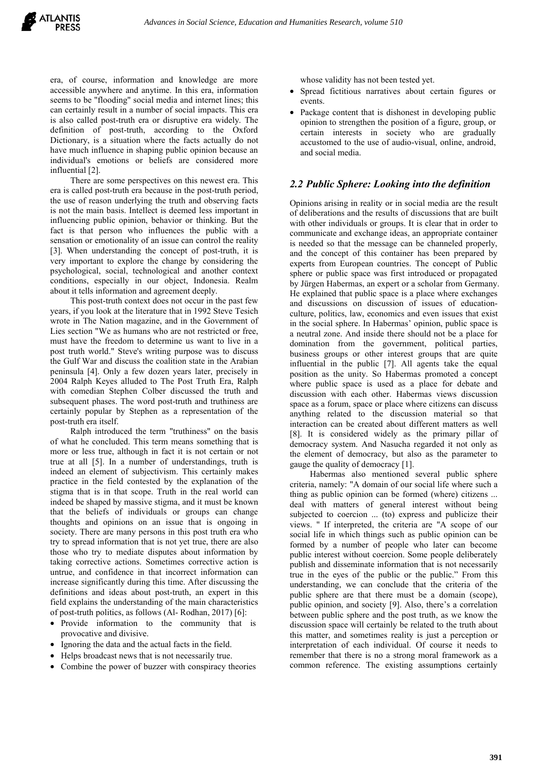era, of course, information and knowledge are more accessible anywhere and anytime. In this era, information seems to be "flooding" social media and internet lines; this can certainly result in a number of social impacts. This era is also called post-truth era or disruptive era widely. The definition of post-truth, according to the Oxford Dictionary, is a situation where the facts actually do not have much influence in shaping public opinion because an individual's emotions or beliefs are considered more influential [2].

There are some perspectives on this newest era. This era iscalled post-truth era because in the post-truth period, the use of reason underlying the truth and observing facts is not the main basis. Intellect is deemed less important in influencing public opinion, behavior or thinking. But the fact is that person who influences the public with a sensation or emotionality of an issue can control the reality [3]. When understanding the concept of post-truth, it is very important to explore the change by considering the psychological, social, technological and another context conditions, especially in our object, Indonesia. Realm about it tells information and agreement deeply.

This post-truth context does not occur in the past few years, if you look at the literature that in 1992 Steve Tesich wrote in The Nation magazine, and in the Government of Lies section "We as humans who are not restricted or free, must have the freedom to determine us want to live in a post truth world." Steve's writing purpose was to discuss the Gulf War and discuss the coalition state in the Arabian peninsula [4]. Only a few dozen years later, precisely in 2004 Ralph Keyes alluded to The Post Truth Era, Ralph with comedian Stephen Colber discussed the truth and subsequent phases. The word post-truth and truthiness are certainly popular by Stephen as a representation of the post-truth era itself.

Ralph introduced the term "truthiness" on the basis of what he concluded. This term means something that is more or less true, although in fact it is not certain or not true at all [5]. In a number of understandings, truth is indeed an element of subjectivism. This certainly makes practice in the field contested by the explanation of the stigma that is in that scope. Truth in the real world can indeed be shaped by massive stigma, and it must be known that the beliefs of individuals or groups can change thoughts and opinions on an issue that is ongoing in society. There are many persons in this post truth era who try to spread information that is not yet true, there are also those who try to mediate disputes about information by taking corrective actions. Sometimes corrective action is untrue, and confidence in that incorrect information can increase significantly during this time. After discussing the definitions and ideas about post-truth, an expert in this field explains the understanding of the main characteristics of post-truth politics, as follows (Al- Rodhan, 2017) [6]:

- Provide information to the community that is provocative and divisive.
- Ignoring the data and the actual facts in the field.
- Helps broadcast news that is not necessarily true.
- Combine the power of buzzer with conspiracy theories

whose validity has not been tested yet.

- Spread fictitious narratives about certain figures or events.
- Package content that is dishonest in developing public opinion to strengthen the position of a figure, group, or certain interests in society who are gradually accustomed to the use of audio-visual, online, android, and social media.

#### *2.2 Public Sphere: Looking into the definition*

Opinions arising in reality or in social media are the result of deliberations and the results of discussions that are built with other individuals or groups. It is clear that in order to communicate and exchange ideas, an appropriate container is needed so that the message can be channeled properly, and the concept of this container has been prepared by experts from European countries. The concept of Public sphere or public space was first introduced or propagated by Jürgen Habermas, an expert or a scholar from Germany. He explained that public space is a place where exchanges and discussions on discussion of issues of education culture, politics, law, economics and even issues that exist in the social sphere. In Habermas' opinion, public space is a neutral zone. And inside there should not be a place for domination from the government, political parties, business groups or other interest groups that are quite influential in the public [7]. All agents take the equal position as the unity. So Habermas promoted a concept where public space is used as a place for debate and discussion with each other. Habermas views discussion space as a forum, space or place where citizens can discuss anything related to the discussion material so that interaction can be created about different matters as well [8]. It is considered widely as the primary pillar of democracy system. And Nasucha regarded it not only as the element of democracy, but also as the parameter to gauge the quality of democracy [1].

Habermas also mentioned several public sphere criteria, namely: "A domain of our social life where such a thing as public opinion can be formed (where) citizens ... deal with matters of general interest without being subjected to coercion ... (to) express and publicize their views. " If interpreted, the criteria are "A scope of our social life in which things such as public opinion can be formed by a number of people who later can become public interest without coercion. Some people deliberately publish and disseminate information that is not necessarily true in the eyes of the public or the public." From this understanding, we can conclude that the criteria of the public sphere are that there must be a domain (scope), public opinion, and society [9]. Also, there's a correlation between public sphere and the post truth, as we know the discussion space will certainly be related to the truth about this matter, and sometimes reality is just a perception or interpretation of each individual. Of course it needs to remember that there is no a strong moral framework as a common reference. The existing assumptions certainly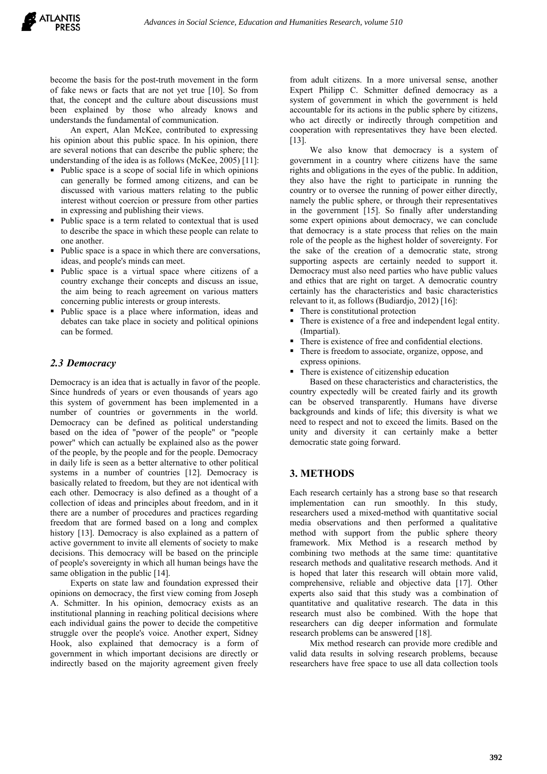become the basis for the post-truth movement in the form of fake news or facts that are not yet true [10]. So from that, the concept and the culture about discussions must been explained by those who already knows and understands the fundamental of communication.

An expert, Alan McKee, contributed to expressing his opinion about this public space. In his opinion, there are several notions that can describe the public sphere; the understanding of the idea is as follows (McKee, 2005) [11]:

- Public space is a scope of social life in which opinions can generally be formed among citizens, and can be discussed with various matters relating to the public interest without coercion or pressure from other parties in expressing and publishing their views.
- Public space is a term related to contextual that is used to describe the space in which these people can relate to one another.
- $\blacksquare$  Public space is a space in which there are conversations, ideas, and people's minds can meet.
- Public space is a virtual space where citizens of a country exchange their concepts and discuss an issue, the aim being to reach agreement on various matters concerning public interests or group interests.
- Public space is a place where information, ideas and debates can take place in society and political opinions can be formed.

### *2.3 Democracy*

Democracy is an idea that is actually in favor of the people. Since hundreds of years or even thousands of years ago this system of government has been implemented in a number of countries or governments in the world. Democracy can be defined as political understanding based on the idea of "power of the people" or "people power" which can actually be explained also as the power of the people, by the people and for the people. Democracy in daily life is seen as a better alternative to other political systems in a number of countries [12]. Democracy is basically related to freedom, but they are not identical with each other. Democracy is also defined as a thought of a collection of ideas and principles about freedom, and in it there are a number of procedures and practices regarding freedom that are formed based on a long and complex history [13]. Democracy is also explained as a pattern of active government to invite all elements of society to make decisions. This democracy will be based on the principle of people's sovereignty in which all human beings have the same obligation in the public [14].

Experts on state law and foundation expressed their opinions on democracy, the first view coming from Joseph A. Schmitter. In his opinion, democracy exists as an institutional planning in reaching political decisions where each individual gains the power to decide the competitive struggle over the people's voice. Another expert, Sidney Hook, also explained that democracy is a form of government in which important decisions are directly or indirectly based on the majority agreement given freely

from adult citizens. In a more universal sense, another Expert Philipp C. Schmitter defined democracy as a system of government in which the government is held accountable for its actions in the public sphere by citizens, who act directly or indirectly through competition and cooperation with representatives they have been elected. [13].

We also know that democracy is a system of government in a country where citizens have the same rights and obligations in the eyes of the public. In addition, they also have the right to participate in running the country or to oversee the running of power either directly, namely the public sphere, or through their representatives in the government [15]. So finally after understanding some expert opinions about democracy, we can conclude that democracy is a state process that relies on the main role of the people as the highest holder of sovereignty. For the sake of the creation of a democratic state, strong supporting aspects are certainly needed to support it. Democracy must also need parties who have public values and ethics that are right on target. A democratic country certainly has the characteristics and basic characteristics relevant to it, as follows (Budiardjo, 2012)  $[16]$ :

- There is constitutional protection
- There is existence of a free and independent legal entity. (Impartial).
- There is existence of free and confidential elections.
- There is freedom to associate, organize, oppose, and express opinions.
- There is existence of citizenship education

Based on these characteristics and characteristics, the country expectedly will be created fairly and its growth can be observed transparently. Humans have diverse backgrounds and kinds of life; this diversity is what we need to respect and not to exceed the limits. Based on the unity and diversity it can certainly make a better democratic state going forward.

# **3. METHODS**

Each research certainly has a strong base so that research implementation can run smoothly. In this study, researchers used a mixed-method with quantitative social media observations and then performed a qualitative method with support from the public sphere theory framework. Mix Method is a research method by combining two methods at the same time: quantitative research methods and qualitative research methods. And it is hoped that later this research will obtain more valid, comprehensive, reliable and objective data [17]. Other experts also said that this study was a combination of quantitative and qualitative research. The data in this research must also be combined. With the hope that researchers can dig deeper information and formulate research problems can be answered [18].

Mix method research can provide more credible and valid data results in solving research problems, because researchers have free space to use all data collection tools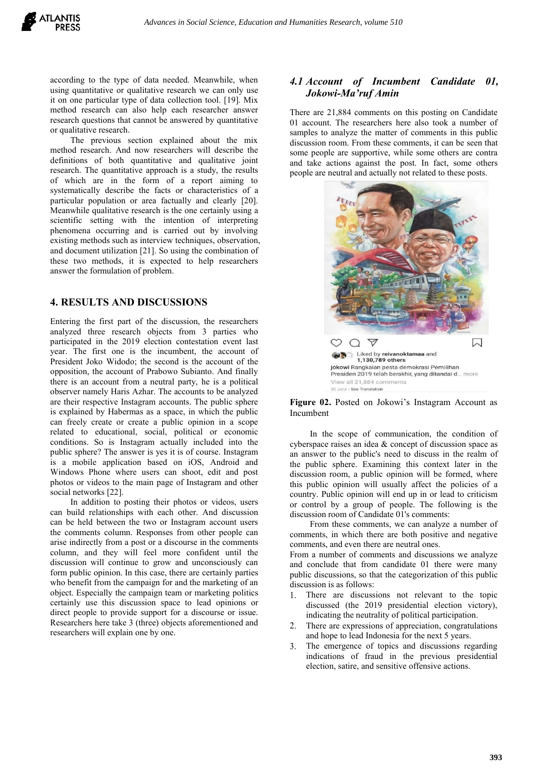according to the type of data needed. Meanwhile, when using quantitative or qualitative research we can only use it on one particular type of data collection tool. [19]. Mix method research can also help each researcher answer research questions that cannot be answered by quantitative or qualitative research.

The previous section explained about the mix method research. And now researchers will describe the definitions of both quantitative and qualitative joint research. The quantitative approach is a study, the results of which are in the form of a reportaiming to systematically describe the facts or characteristics of a particular population or area factually and clearly [20]. Meanwhile qualitative research is the one certainly using a scientific setting with the intention of interpreting phenomena occurring and is carried out by involving existing methods such as interview techniques, observation, and document utilization [21]. So using the combination of these two methods, it is expected to help researchers answer the formulation of problem.

### **4. RESULTS AND DISCUSSIONS**

Entering the first part of the discussion, the researchers analyzed three research objects from 3 parties who participated in the 2019 election contestation event last year. The first one is the incumbent, the account of President Joko Widodo; the second is the account of the the magnetium of the second is the account of the second is the account of the second is the second is the second is the second is the second is the second is the sec opposition, the account of Prabowo Subianto. And finally **Subset and Suppose Constant Constant** Pesiden 2019 telah berakhir, yang ditandai d... more there is an account from a neutral party, he is a political observer namely Haris Azhar. The accounts to be analyzed are their respective Instagram accounts. The public sphere is explained by Habermas as a space, in which the public can freely create or create a public opinion in a scope related to educational, social, political or economic conditions. So is Instagram actually included into the public sphere? The answer is yes it is of course. Instagram is a mobile application based on iOS, Android and Windows Phone where users can shoot, edit and post photos or videos to the main page of Instagram and other social networks [22].

In addition to posting their photos or videos, users can build relationships with each other. And discussion can be held between the two or Instagram account users the comments column. Responses from other people can arise indirectly from a post or a discourse in the comments column, and they will feel more confident until the discussion will continue to grow and unconsciously can form public opinion. In this case, there are certainly parties who benefit from the campaign for and the marketing of an object. Especially the campaign team or marketing politics certainly use this discussion space to lead opinions or direct people to provide support for a discourse or issue. Researchers here take 3 (three) objects aforementioned and researchers will explain one by one.

### *4.1 Account of Incumbent Candidate 01, Jokowi-Ma'ruf Amin*

There are 21,884 comments on this posting on Candidate 01 account. The researchers here also took a number of samples to analyze the matter of comments in this public discussion room. From these comments, it can be seen that some people are supportive, while some others are contra and take actions against the post. In fact, some others people are neutral and actually not related to these posts.



**Figure 02.** Posted on Jokowi's Instagram Account as Incumbent

In the scope of communication, the condition of cyberspace raises an idea & concept of discussion space as an answer to the public's need to discuss in the realm of the public sphere. Examining this context later in the discussion room, a public opinion will be formed, where this public opinion will usually affect the policies of a country. Public opinion will end up in or lead to criticism or control by a group of people. The following is the discussion room of Candidate 01's comments:

From these comments, we can analyze a number of comments, in which there are both positive and negative comments, and even there are neutral ones.

From a number of comments and discussions we analyze and conclude that from candidate 01 there were many public discussions, so that the categorization of this public discussion is as follows:

- There are discussions not relevant to the topic discussed (the 2019 presidential election victory), indicating the neutrality of political participation.
- There are expressions of appreciation, congratulations and hope to lead Indonesia for the next 5 years.
- 3. The emergence of topics and discussions regarding indications of fraud in the previous presidential election, satire, and sensitive offensive actions.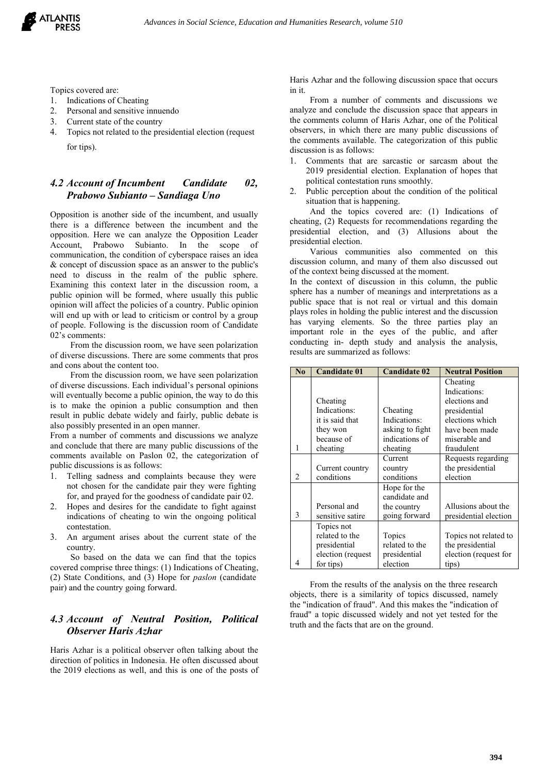

Topics covered are:

- 1. Indications of Cheating
- 2. Personal and sensitive innuendo
- 3. Current state of the country
- 4. Topics not related to the presidential election (request for tips).

# *4.2 Account of Incumbent Candidate 02, Prabowo Subianto – Sandiaga Uno*

Opposition is another side of the incumbent, and usually there is a difference between the incumbent and the opposition. Here we can analyze the Opposition Leader Account, Prabowo Subianto. In the scope of communication, the condition of cyberspace raises an idea & concept of discussion space as an answer to the public's need to discuss in the realm of the public sphere. Examining this context later in the discussion room, a public opinion will be formed, where usually this public opinion will affect the policies of a country. Public opinion will end up with or lead to criticism or control by a group of people. Following is the discussion room of Candidate 02's comments:

From the discussion room, we have seen polarization of diverse discussions. There are some comments that pros and cons about the content too.

From the discussion room, we have seen polarization of diverse discussions. Each individual's personal opinions will eventually become a public opinion, the way to do this is to make the opinion a public consumption and then result in public debate widely and fairly, public debate is also possibly presented in an open manner.

From a number of comments and discussions we analyze and conclude that there are many public discussions of the comments available on Paslon 02, the categorization of public discussions is as follows:

- 1. Telling sadness and complaints because they were not chosen for the candidate pair they were fighting for, and prayed for the goodness of candidate pair 02.
- 2. Hopes and desires for the candidate to fight against indications of cheating to win the ongoing political contestation.
- 3. An argument arises about the current state of the country.

So based on the data we can find that the topics covered comprise three things: (1) Indications of Cheating, (2) State Conditions, and (3) Hope for *paslon* (candidate pair) and the country going forward.

# *4.3 Account of Neutral Position, Political Observer Haris Azhar*

Haris Azhar is a political observer often talking about the direction of politics in Indonesia. He often discussed about the 2019 elections as well, and this is one of the posts of Haris Azhar and the following discussion space that occurs in it.

From a number of comments and discussions we analyze and conclude the discussion space that appears in the comments column of Haris Azhar, one of the Political observers, in which there are many public discussions of the comments available. The categorization of this public discussion is as follows:

- 1. Comments that are sarcastic or sarcasm about the 2019 presidential election. Explanation of hopes that political contestation runs smoothly.
- 2. Public perception about the condition of the political situation that is happening.

And the topics covered are: (1) Indications of cheating, (2) Requests for recommendations regarding the presidential election, and (3) Allusions about the presidential election.

Various communities also commented on this discussion column, and many of them also discussed out of the context being discussed at the moment.

In the context of discussion in this column, the public sphere has a number of meanings and interpretations as a public space that is not real or virtual and this domain plays roles in holding the public interestand the discussion has varying elements. So the three parties play an important role in the eyes of the public, and after conducting in- depth study and analysis the analysis, results are summarized as follows:

| $\mathbf{N}\mathbf{0}$ | <b>Candidate 01</b> | <b>Candidate 02</b> | <b>Neutral Position</b> |
|------------------------|---------------------|---------------------|-------------------------|
|                        |                     |                     | Cheating                |
|                        |                     |                     | Indications:            |
|                        | Cheating            |                     | elections and           |
|                        | Indications:        | Cheating            | presidential            |
|                        | it is said that     | Indications:        | elections which         |
|                        | they won            | asking to fight     | have been made          |
|                        | because of          | indications of      | miserable and           |
| 1                      | cheating            | cheating            | fraudulent              |
|                        |                     | Current             | Requests regarding      |
|                        | Current country     | country             | the presidential        |
| 2                      | conditions          | conditions          | election                |
|                        |                     | Hope for the        |                         |
|                        |                     | candidate and       |                         |
|                        | Personal and        | the country         | Allusions about the     |
| 3                      | sensitive satire    | going forward       | presidential election   |
|                        | Topics not          |                     |                         |
|                        | related to the      | Topics              | Topics not related to   |
|                        | presidential        | related to the      | the presidential        |
|                        | election (request   | presidential        | election (request for   |
| 4                      | for tips)           | election            | tips)                   |

From the results of the analysis on the three research objects, there is a similarity of topics discussed, namely the "indication of fraud". And this makes the "indication of fraud" a topic discussed widely and not yet tested for the truth and the facts that are on the ground.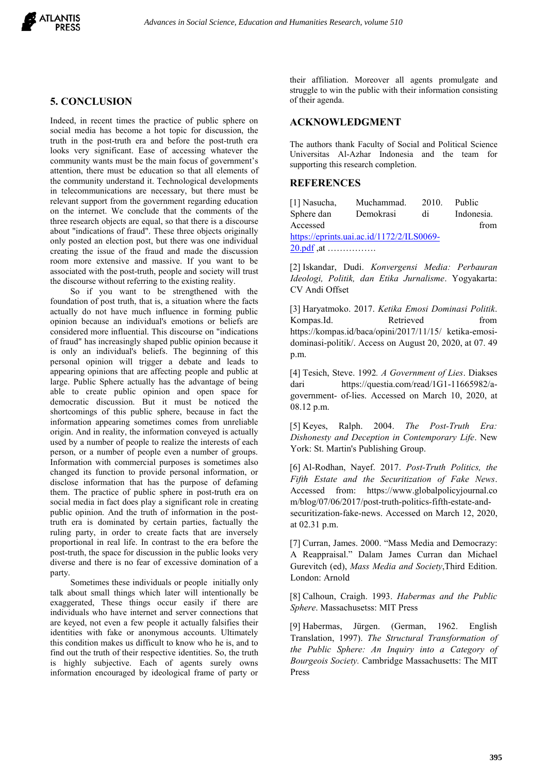

# **5. CONCLUSION**

Indeed, in recent times the practice of public sphere on social media has become a hot topic for discussion, the truth in the post-truth era and before the post-truth era looks very significant. Ease of accessing whatever the community wants must be the main focus of government's attention, there must be education so that all elements of the community understand it. Technological developments in telecommunications are necessary, but there must be relevant support from the government regarding education on the internet. We conclude that the comments of the three research objects are equal, so that there is a discourse about "indications of fraud". These three objects originally only posted an election post, but there was one individual creating the issue of the fraud and made the discussion room more extensive and massive. If you want to be associated with the post-truth, people and society will trust the discourse without referring to the existing reality.

So if you want to be strengthened with the foundation of post truth, that is, a situation where the facts actually do not have much influence in forming public opinion because an individual's emotions or beliefs are considered more influential. This discourse on "indications of fraud" has increasingly shaped public opinion because it is only an individual's beliefs. The beginning of this personal opinion will trigger a debate and leads to appearing opinions that are affecting people and public at large. Public Sphere actually has the advantage of being dari able to create public opinion and open space for democratic discussion. But it must be noticed the shortcomings of this public sphere, because in fact the information appearing sometimes comes from unreliable origin. And in reality, the information conveyed is actually used by a number of people to realize the interests of each person, or a number of people even a number of groups. Information with commercial purposes is sometimes also changed its function to provide personal information, or disclose information that has the purpose of defaming them. The practice of public sphere in post-truth era on social media in fact does play a significant role in creating public opinion. And the truth of information in the posttruth era is dominated by certain parties, factually the ruling party, in order to create facts that are inversely proportional in real life. In contrast to the era before the post-truth, the space for discussion in the public looks very diverse and there is no fear of excessive domination of a

party.<br>Sometimes these individuals or people initially only talk about small things which later will intentionally be exaggerated, These things occur easily if there are individuals who have internet and server connections that are keyed, not even a few people it actually falsifies their identities with fake or anonymous accounts. Ultimately this condition makes us difficult to know who he is, and to find out the truth of their respective identities. So, the truth is highly subjective. Each of agents surely owns information encouraged by ideological frame of party or

their affiliation. Moreover all agents promulgate and struggle to win the public with their information consisting of their agenda.

#### **ACKNOWLEDGMENT**

The authors thank Faculty of Social and Political Science Universitas Al-Azhar Indonesia and the team for supporting this research completion.

#### **REFERENCES**

| [1] Nasucha,                                        | Muchammad. | 2010. | <b>Public</b> |  |  |  |  |
|-----------------------------------------------------|------------|-------|---------------|--|--|--|--|
| Sphere dan                                          | Demokrasi  | di    | Indonesia.    |  |  |  |  |
| Accessed                                            |            |       | from          |  |  |  |  |
| https://eprints.uai.ac.id/1172/2/ILS0069-           |            |       |               |  |  |  |  |
| $20. \text{pdf}, \text{at} \dots \dots \dots \dots$ |            |       |               |  |  |  |  |

[2] Iskandar, Dudi. *Konvergensi Media: Perbauran Ideologi, Politik, dan Etika Jurnalisme*. Yogyakarta: CV Andi Offset

[3] Haryatmoko. 2017. *Ketika Emosi Dominasi Politik*. Kompas.Id. Retrieved from https://kompas.id/baca/opini/2017/11/15/ ketika-emosi dominasi-politik/. Access on August 20, 2020, at 07. 49 p.m.

[4] Tesich, Steve. 1992. *A Government of Lies*. Diakses https://questia.com/read/1G1-11665982/agovernment- of-lies. Accessed on March 10, 2020, at 08.12 p.m.

[5] Keyes, Ralph. 2004. *The Post-Truth Era: Dishonesty and Deception in Contemporary Life*. New York: St. Martin's Publishing Group.

[6] Al-Rodhan, Nayef. 2017. *Post-Truth Politics, the Fifth Estate and the Securitization of Fake News*. Accessed from: https:/[/www.globalpolicyjournal.co](http://www.globalpolicyjournal.co/) m/blog/07/06/2017/post-truth-politics-fifth-estate-and securitization-fake-news. Accessed on March 12, 2020, at 02.31 p.m.

[7] Curran, James. 2000. "Mass Media and Democrazy: A Reappraisal." Dalam James Curran dan Michael Gurevitch (ed), *Mass Media and Society*,Third Edition. London: Arnold

[8] Calhoun, Craigh. 1993. *Habermas and the Public Sphere*. Massachusetss: MIT Press

[9] Habermas, Jürgen. (German, 1962. English Translation, 1997). *The Structural Transformation of the Public Sphere: An Inquiry into a Category of Bourgeois Society.* Cambridge Massachusetts: The MIT Press